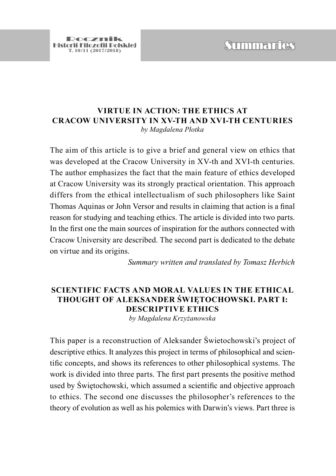# **T. 10/11 (2018)**<br>Tristant Tilozofii Diskriej<br>T. 10/11 (2017/2018)

### **VIRTUE IN ACTION: THE ETHICS AT CRACOW UNIVERSITY IN XV-TH AND XVI-TH CENTURIES** *by Magdalena Płotka*

The aim of this article is to give a brief and general view on ethics that was developed at the Cracow University in XV-th and XVI-th centuries. The author emphasizes the fact that the main feature of ethics developed at Cracow University was its strongly practical orientation. This approach differs from the ethical intellectualism of such philosophers like Saint Thomas Aquinas or John Versor and results in claiming that action is a final reason for studying and teaching ethics. The article is divided into two parts. In the first one the main sources of inspiration for the authors connected with Cracow University are described. The second part is dedicated to the debate on virtue and its origins.

*Summary written and translated by Tomasz Herbich*

## **SCIENTIFIC FACTS AND MORAL VALUES IN THE ETHICAL THOUGHT OF ALEKSANDER ŚWIĘTOCHOWSKI. PART I: DESCRIPTIVE ETHICS**

*by Magdalena Krzyżanowska*

This paper is a reconstruction of Aleksander Świetochowski's project of descriptive ethics. It analyzes this project in terms of philosophical and scientific concepts, and shows its references to other philosophical systems. The work is divided into three parts. The first part presents the positive method used by Świętochowski, which assumed a scientific and objective approach to ethics. The second one discusses the philosopher's references to the theory of evolution as well as his polemics with Darwin's views. Part three is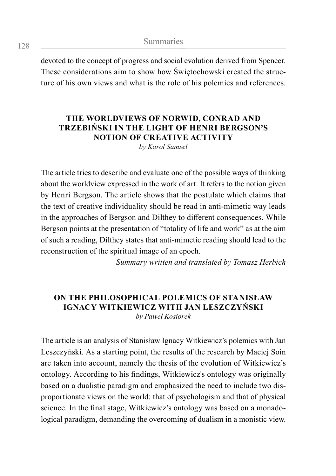devoted to the concept of progress and social evolution derived from Spencer. These considerations aim to show how Świętochowski created the structure of his own views and what is the role of his polemics and references.

# **THE WORLDVIEWS OF NORWID, CONRAD AND TRZEBIŃSKI IN THE LIGHT OF HENRI BERGSON'S NOTION OF CREATIVE ACTIVITY**

*by Karol Samsel*

The article tries to describe and evaluate one of the possible ways of thinking about the worldview expressed in the work of art. It refers to the notion given by Henri Bergson. The article shows that the postulate which claims that the text of creative individuality should be read in anti-mimetic way leads in the approaches of Bergson and Dilthey to different consequences. While Bergson points at the presentation of "totality of life and work" as at the aim of such a reading, Dilthey states that anti-mimetic reading should lead to the reconstruction of the spiritual image of an epoch.

*Summary written and translated by Tomasz Herbich*

#### **ON THE PHILOSOPHICAL POLEMICS OF STANISŁAW IGNACY WITKIEWICZ WITH JAN LESZCZYŃSKI** *by Paweł Kosiorek*

The article is an analysis of Stanisław Ignacy Witkiewicz's polemics with Jan Leszczyński. As a starting point, the results of the research by Maciej Soin are taken into account, namely the thesis of the evolution of Witkiewicz's ontology. According to his findings, Witkiewicz's ontology was originally based on a dualistic paradigm and emphasized the need to include two disproportionate views on the world: that of psychologism and that of physical science. In the final stage, Witkiewicz's ontology was based on a monadological paradigm, demanding the overcoming of dualism in a monistic view.